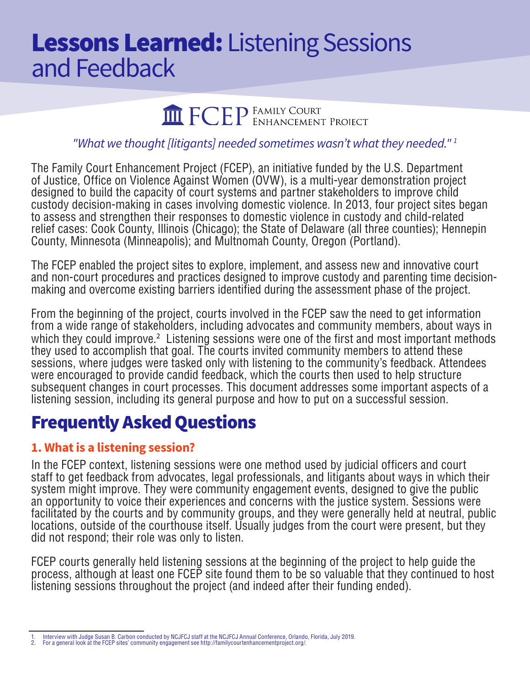# **Lessons Learned:** Listening Sessions and Feedback

**THE FORD FAMILY COURT PROJECT** 

#### *"What we thought [litigants] needed sometimes wasn't what they needed." 1*

The Family Court Enhancement Project (FCEP), an initiative funded by the U.S. Department of Justice, Office on Violence Against Women (OVW), is a multi-year demonstration project designed to build the capacity of court systems and partner stakeholders to improve child custody decision-making in cases involving domestic violence. In 2013, four project sites began to assess and strengthen their responses to domestic violence in custody and child-related relief cases: Cook County, Illinois (Chicago); the State of Delaware (all three counties); Hennepin County, Minnesota (Minneapolis); and Multnomah County, Oregon (Portland).

The FCEP enabled the project sites to explore, implement, and assess new and innovative court and non-court procedures and practices designed to improve custody and parenting time decisionmaking and overcome existing barriers identified during the assessment phase of the project.

From the beginning of the project, courts involved in the FCEP saw the need to get information from a wide range of stakeholders, including advocates and community members, about ways in which they could improve.<sup>2</sup> Listening sessions were one of the first and most important methods they used to accomplish that goal. The courts invited community members to attend these sessions, where judges were tasked only with listening to the community's feedback. Attendees were encouraged to provide candid feedback, which the courts then used to help structure subsequent changes in court processes. This document addresses some important aspects of a listening session, including its general purpose and how to put on a successful session.

# Frequently Asked Questions

#### **1. What is a listening session?**

In the FCEP context, listening sessions were one method used by judicial officers and court staff to get feedback from advocates, legal professionals, and litigants about ways in which their system might improve. They were community engagement events, designed to give the public an opportunity to voice their experiences and concerns with the justice system. Sessions were facilitated by the courts and by community groups, and they were generally held at neutral, public locations, outside of the courthouse itself. Usually judges from the court were present, but they did not respond; their role was only to listen.

FCEP courts generally held listening sessions at the beginning of the project to help guide the process, although at least one FCEP site found them to be so valuable that they continued to host listening sessions throughout the project (and indeed after their funding ended).

<sup>1.</sup> Interview with Judge Susan B. Carbon conducted by NCJFCJ staff at the NCJFCJ Annual Conference, Orlando, Florida, July 2019.

<sup>2.</sup> For a general look at the FCEP sites' community engagement see http://familycourtenhancementproject.org/.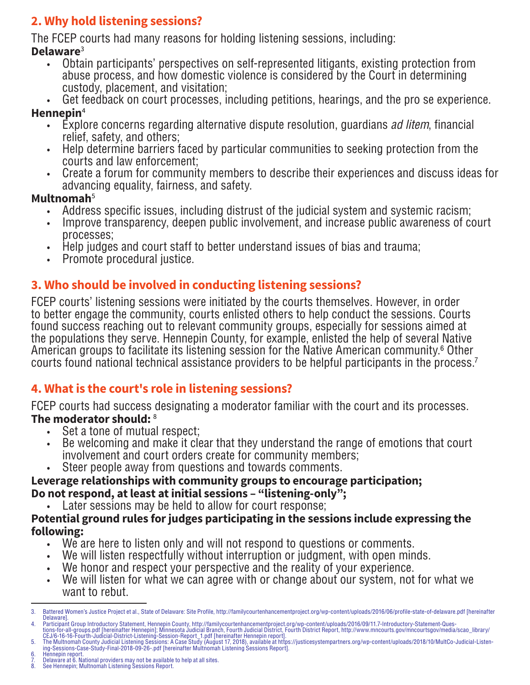# **2. Why hold listening sessions?**

The FCEP courts had many reasons for holding listening sessions, including: **Delaware**<sup>3</sup>

- Obtain participants' perspectives on self-represented litigants, existing protection from abuse process, and how domestic violence is considered by the Court in determining custody, placement, and visitation;
- Get feedback on court processes, including petitions, hearings, and the pro se experience.

# **Hennepin**<sup>4</sup>

- Explore concerns regarding alternative dispute resolution, guardians *ad litem*, financial relief, safety, and others;
- Help determine barriers faced by particular communities to seeking protection from the courts and law enforcement;
- Create a forum for community members to describe their experiences and discuss ideas for advancing equality, fairness, and safety.

# **Multnomah**<sup>5</sup>

- Address specific issues, including distrust of the judicial system and systemic racism;
- Improve transparency, deepen public involvement, and increase public awareness of court processes;
- Help judges and court staff to better understand issues of bias and trauma;
- Promote procedural justice.

# **3. Who should be involved in conducting listening sessions?**

FCEP courts' listening sessions were initiated by the courts themselves. However, in order to better engage the community, courts enlisted others to help conduct the sessions. Courts found success reaching out to relevant community groups, especially for sessions aimed at the populations they serve. Hennepin County, for example, enlisted the help of several Native American groups to facilitate its listening session for the Native American community.<sup>6</sup> Other courts found national technical assistance providers to be helpful participants in the process.<sup>7</sup>

# **4. What is the court's role in listening sessions?**

FCEP courts had success designating a moderator familiar with the court and its processes. **The moderator should:** <sup>8</sup>

- Set a tone of mutual respect:
- Be welcoming and make it clear that they understand the range of emotions that court involvement and court orders create for community members;
- Steer people away from questions and towards comments.

#### **Leverage relationships with community groups to encourage participation; Do not respond, at least at initial sessions – "listening-only";**

• Later sessions may be held to allow for court response;

#### **Potential ground rules for judges participating in the sessions include expressing the following:**

- We are here to listen only and will not respond to questions or comments.
- We will listen respectfully without interruption or judgment, with open minds.
- We honor and respect your perspective and the reality of your experience.
- We will listen for what we can agree with or change about our system, not for what we want to rebut.

- 9. Delaware at 6. National providers may not be available to help at all sites.<br>8. See Hennepin: Multnomah Listening Sessions Report.
- 8. See Hennepin; Multnomah Listening Sessions Report.

<sup>3.</sup> Battered Women's Justice Project et al., State of Delaware: Site Profile, http://familycourtenhancementproject.org/wp-content/uploads/2016/06/profile-state-of-delaware.pdf [hereinafter Delaware].<br>Participant Group Introductory Statement, Hennepin County, http://familycourtenhancementproject.org/wp-content/uploads/2016/09/11.7-Introductory-Statement-Ques-

<sup>4.</sup> Participant Group Introductory Statement, Hennepin County, http://familycourtenhancementproject.org/wp-content/uploads/2016/09/11.7-Introductory-Statement-Ques-to-all-groups.pdf [hereinafter Hennepin]; Minnesota Judicia

Hennepin report.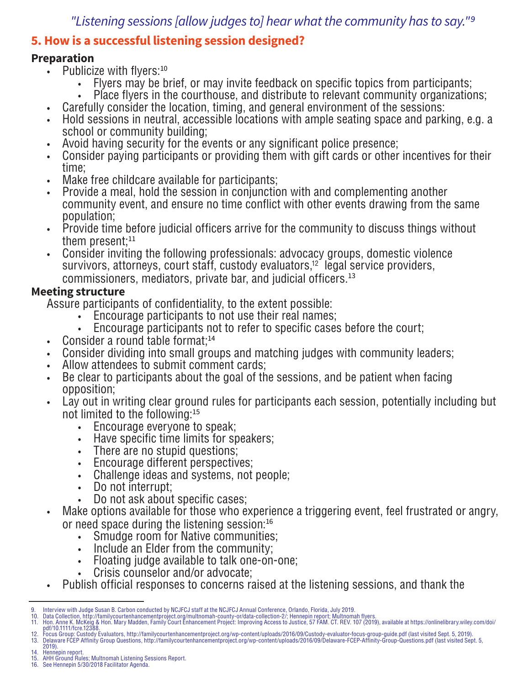# *"Listening sessions [allow judges to] hear what the community has to say."9*

# **5. How is a successful listening session designed?**

#### **Preparation**

- Publicize with flyers: $10$ 
	- Flyers may be brief, or may invite feedback on specific topics from participants;
	- Place flyers in the courthouse, and distribute to relevant community organizations;
	- Carefully consider the location, timing, and general environment of the sessions:
- Hold sessions in neutral, accessible locations with ample seating space and parking, e.g. a school or community building;
- Avoid having security for the events or any significant police presence;
- Consider paying participants or providing them with gift cards or other incentives for their time;
- Make free childcare available for participants;
- Provide a meal, hold the session in conjunction with and complementing another community event, and ensure no time conflict with other events drawing from the same population;
- Provide time before judicial officers arrive for the community to discuss things without them present; $^{11}$
- Consider inviting the following professionals: advocacy groups, domestic violence survivors, attorneys, court staff, custody evaluators,<sup>12</sup> legal service providers, commissioners, mediators, private bar, and judicial officers.<sup>13</sup>

#### **Meeting structure**

Assure participants of confidentiality, to the extent possible:

- Encourage participants to not use their real names;
- Encourage participants not to refer to specific cases before the court;
- Consider a round table format; $14$
- Consider dividing into small groups and matching judges with community leaders;
- Allow attendees to submit comment cards;
- Be clear to participants about the goal of the sessions, and be patient when facing opposition;
- Lay out in writing clear ground rules for participants each session, potentially including but not limited to the following:<sup>15</sup>
	- Encourage everyone to speak;
	- Have specific time limits for speakers;
	- There are no stupid questions;
	- Encourage different perspectives;
	- Challenge ideas and systems, not people;
	- Do not interrupt;
	- Do not ask about specific cases;
- Make options available for those who experience a triggering event, feel frustrated or angry, or need space during the listening session:<sup>16</sup>
	- Smudge room for Native communities;
	- Include an Elder from the community;
	- Floating judge available to talk one-on-one;
	- Crisis counselor and/or advocate;
- Publish official responses to concerns raised at the listening sessions, and thank the

- 13. Delaware FCEP Affinity Group Questions, http://familycourtenhancementproject.org/wp-content/uploads/2016/09/Delaware-FCEP-Affinity-Group-Questions.pdf (last visited Sept. 5,
- 2019).
- 14. Hennepin report.
- 15. AHH Ground Rules; Multnomah Listening Sessions Report. 16. See Hennepin 5/30/2018 Facilitator Agenda.

<sup>9.</sup> Interview with Judge Susan B. Carbon conducted by NCJFCJ staff at the NCJFCJ Annual Conference, Orlando, Florida, July 2019.<br>10. Data Collection, http://familycourtenhancementproject.org/multnomah-county-or/data-collect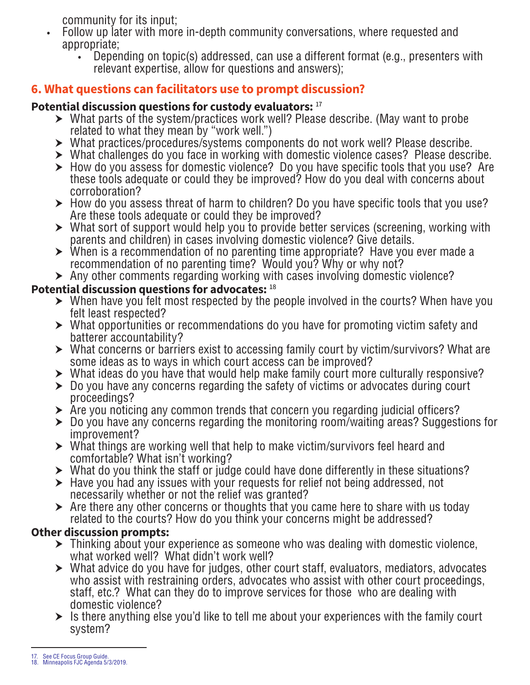community for its input;

- Follow up later with more in-depth community conversations, where requested and appropriate;
	- Depending on topic(s) addressed, can use a different format (e.g., presenters with relevant expertise, allow for questions and answers);

# **6. What questions can facilitators use to prompt discussion?**

#### **Potential discussion questions for custody evaluators:** <sup>17</sup>

- $\triangleright$  What parts of the system/practices work well? Please describe. (May want to probe related to what they mean by "work well.")
- $\triangleright$  What practices/procedures/systems components do not work well? Please describe.
- $\triangleright$  What challenges do you face in working with domestic violence cases? Please describe.
- $\triangleright$  How do you assess for domestic violence? Do you have specific tools that you use? Are these tools adequate or could they be improved? How do you deal with concerns about corroboration?
- $\blacktriangleright$  How do you assess threat of harm to children? Do you have specific tools that you use? Are these tools adequate or could they be improved?
- $\triangleright$  What sort of support would help you to provide better services (screening, working with parents and children) in cases involving domestic violence? Give details.
- $\triangleright$  When is a recommendation of no parenting time appropriate? Have you ever made a recommendation of no parenting time? Would you? Why or why not?
- $\triangleright$  Any other comments regarding working with cases involving domestic violence?

### **Potential discussion questions for advocates:** <sup>18</sup>

- $\triangleright$  When have you felt most respected by the people involved in the courts? When have you felt least respected?
- $\triangleright$  What opportunities or recommendations do you have for promoting victim safety and batterer accountability?
- $\triangleright$  What concerns or barriers exist to accessing family court by victim/survivors? What are some ideas as to ways in which court access can be improved?
- $\triangleright$  What ideas do you have that would help make family court more culturally responsive?
- $\triangleright$  Do you have any concerns regarding the safety of victims or advocates during court proceedings?
- $\triangleright$  Are you noticing any common trends that concern you regarding judicial officers?
- $\triangleright$  Do you have any concerns regarding the monitoring room/waiting areas? Suggestions for improvement?
- $\triangleright$  What things are working well that help to make victim/survivors feel heard and comfortable? What isn't working?
- $\triangleright$  What do you think the staff or judge could have done differently in these situations?
- $\triangleright$  Have you had any issues with your requests for relief not being addressed, not necessarily whether or not the relief was granted?
- $\triangleright$  Are there any other concerns or thoughts that you came here to share with us today related to the courts? How do you think your concerns might be addressed?

# **Other discussion prompts:**

- $\triangleright$  Thinking about your experience as someone who was dealing with domestic violence, what worked well? What didn't work well?
- $\triangleright$  What advice do you have for judges, other court staff, evaluators, mediators, advocates who assist with restraining orders, advocates who assist with other court proceedings, staff, etc.? What can they do to improve services for those who are dealing with domestic violence?
- $\triangleright$  Is there anything else you'd like to tell me about your experiences with the family court system?

<sup>17.</sup> See CE Focus Group Guide. 18. Minneapolis FJC Agenda 5/3/2019.